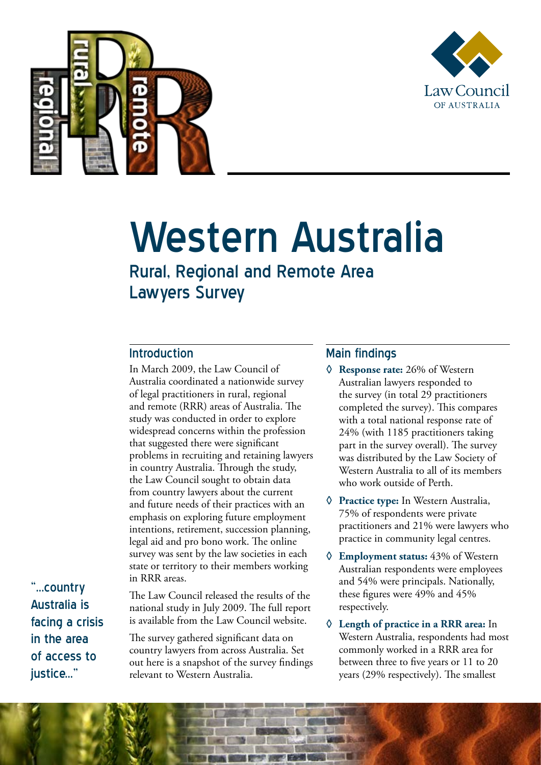



# Western Australia

## Rural, Regional and Remote Area Lawyers Survey

### Introduction

In March 2009, the Law Council of Australia coordinated a nationwide survey of legal practitioners in rural, regional and remote (RRR) areas of Australia. The study was conducted in order to explore widespread concerns within the profession that suggested there were significant problems in recruiting and retaining lawyers in country Australia. Through the study, the Law Council sought to obtain data from country lawyers about the current and future needs of their practices with an emphasis on exploring future employment intentions, retirement, succession planning, legal aid and pro bono work. The online survey was sent by the law societies in each state or territory to their members working in RRR areas.

"...country Australia is facing a crisis in the area of access to iustice..."

The Law Council released the results of the national study in July 2009. The full report is available from the Law Council website.

The survey gathered significant data on country lawyers from across Australia. Set out here is a snapshot of the survey findings relevant to Western Australia.

### Main findings

- **◊ Response rate:** 26% of Western Australian lawyers responded to the survey (in total 29 practitioners completed the survey). This compares with a total national response rate of 24% (with 1185 practitioners taking part in the survey overall). The survey was distributed by the Law Society of Western Australia to all of its members who work outside of Perth.
- **◊ Practice type:** In Western Australia, 75% of respondents were private practitioners and 21% were lawyers who practice in community legal centres.
- **◊ Employment status:** 43% of Western Australian respondents were employees and 54% were principals. Nationally, these figures were 49% and 45% respectively.
- **◊ Length of practice in a RRR area:** In Western Australia, respondents had most commonly worked in a RRR area for between three to five years or 11 to 20 years (29% respectively). The smallest